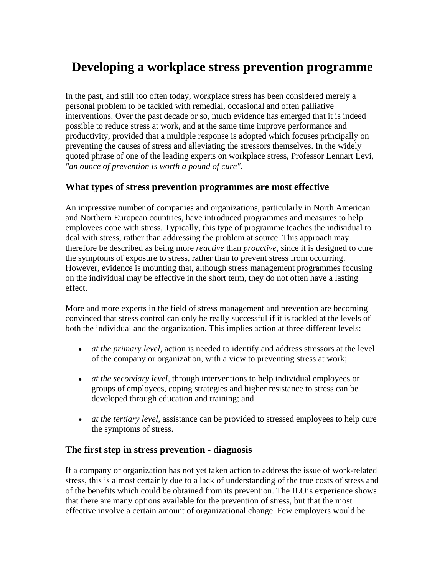# **Developing a workplace stress prevention programme**

In the past, and still too often today, workplace stress has been considered merely a personal problem to be tackled with remedial, occasional and often palliative interventions. Over the past decade or so, much evidence has emerged that it is indeed possible to reduce stress at work, and at the same time improve performance and productivity, provided that a multiple response is adopted which focuses principally on preventing the causes of stress and alleviating the stressors themselves. In the widely quoted phrase of one of the leading experts on workplace stress, Professor Lennart Levi, *"an ounce of prevention is worth a pound of cure"*.

# **What types of stress prevention programmes are most effective**

An impressive number of companies and organizations, particularly in North American and Northern European countries, have introduced programmes and measures to help employees cope with stress. Typically, this type of programme teaches the individual to deal with stress, rather than addressing the problem at source. This approach may therefore be described as being more *reactive* than *proactive*, since it is designed to cure the symptoms of exposure to stress, rather than to prevent stress from occurring. However, evidence is mounting that, although stress management programmes focusing on the individual may be effective in the short term, they do not often have a lasting effect.

More and more experts in the field of stress management and prevention are becoming convinced that stress control can only be really successful if it is tackled at the levels of both the individual and the organization. This implies action at three different levels:

- *at the primary level*, action is needed to identify and address stressors at the level of the company or organization, with a view to preventing stress at work;
- *at the secondary level*, through interventions to help individual employees or groups of employees, coping strategies and higher resistance to stress can be developed through education and training; and
- *at the tertiary level*, assistance can be provided to stressed employees to help cure the symptoms of stress.

## **The first step in stress prevention - diagnosis**

If a company or organization has not yet taken action to address the issue of work-related stress, this is almost certainly due to a lack of understanding of the true costs of stress and of the benefits which could be obtained from its prevention. The ILO's experience shows that there are many options available for the prevention of stress, but that the most effective involve a certain amount of organizational change. Few employers would be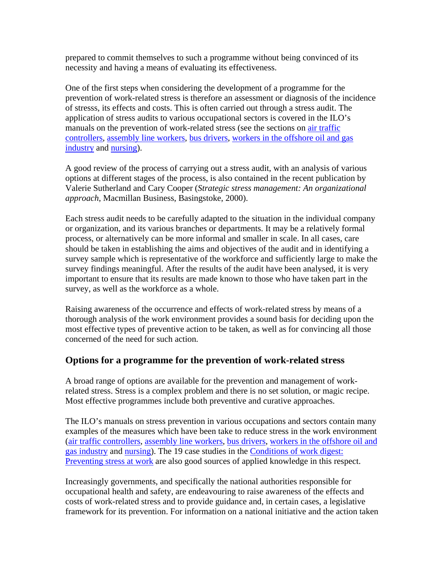prepared to commit themselves to such a programme without being convinced of its necessity and having a means of evaluating its effectiveness.

One of the first steps when considering the development of a programme for the prevention of work-related stress is therefore an assessment or diagnosis of the incidence of stresss, its effects and costs. This is often carried out through a stress audit. The application of stress audits to various occupational sectors is covered in the ILO's manuals on the prevention of work-related stress (see the sections on [air traffic](http://www.ilo.org/public/english/protection/safework/stress/trafctr.htm)  [controllers](http://www.ilo.org/public/english/protection/safework/stress/trafctr.htm), [assembly line workers,](http://www.ilo.org/public/english/protection/safework/stress/assemblr.htm) [bus drivers,](http://www.ilo.org/public/english/protection/safework/stress/busdrver.htm) [workers in the offshore oil and gas](http://www.ilo.org/public/english/protection/safework/stress/oilgasw.htm)  [industry](http://www.ilo.org/public/english/protection/safework/stress/oilgasw.htm) and [nursing\)](http://www.ilo.org/public/english/protection/safework/stress/nursing.htm).

A good review of the process of carrying out a stress audit, with an analysis of various options at different stages of the process, is also contained in the recent publication by Valerie Sutherland and Cary Cooper (*Strategic stress management: An organizational approach*, Macmillan Business, Basingstoke, 2000).

Each stress audit needs to be carefully adapted to the situation in the individual company or organization, and its various branches or departments. It may be a relatively formal process, or alternatively can be more informal and smaller in scale. In all cases, care should be taken in establishing the aims and objectives of the audit and in identifying a survey sample which is representative of the workforce and sufficiently large to make the survey findings meaningful. After the results of the audit have been analysed, it is very important to ensure that its results are made known to those who have taken part in the survey, as well as the workforce as a whole.

Raising awareness of the occurrence and effects of work-related stress by means of a thorough analysis of the work environment provides a sound basis for deciding upon the most effective types of preventive action to be taken, as well as for convincing all those concerned of the need for such action.

## **Options for a programme for the prevention of work-related stress**

A broad range of options are available for the prevention and management of workrelated stress. Stress is a complex problem and there is no set solution, or magic recipe. Most effective programmes include both preventive and curative approaches.

The ILO's manuals on stress prevention in various occupations and sectors contain many examples of the measures which have been take to reduce stress in the work environment ([air traffic controllers](http://www.ilo.org/public/english/protection/safework/stress/trafctr.htm), [assembly line workers,](http://www.ilo.org/public/english/protection/safework/stress/assemblr.htm) [bus drivers,](http://www.ilo.org/public/english/protection/safework/stress/busdrver.htm) [workers in the offshore oil and](http://www.ilo.org/public/english/protection/safework/stress/oilgasw.htm)  [gas industry](http://www.ilo.org/public/english/protection/safework/stress/oilgasw.htm) and [nursing\)](http://www.ilo.org/public/english/protection/safework/stress/nursing.htm). The 19 case studies in the [Conditions of work digest:](http://www.ilo.org/public/english/protection/safework/stress/digest.htm)  [Preventing stress at work](http://www.ilo.org/public/english/protection/safework/stress/digest.htm) are also good sources of applied knowledge in this respect.

Increasingly governments, and specifically the national authorities responsible for occupational health and safety, are endeavouring to raise awareness of the effects and costs of work-related stress and to provide guidance and, in certain cases, a legislative framework for its prevention. For information on a national initiative and the action taken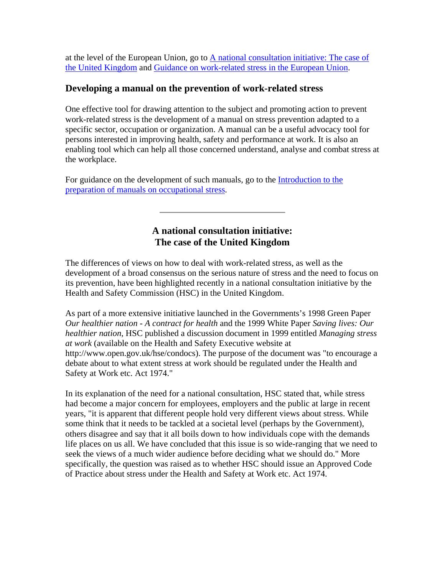at the level of the European Union, go to  $\triangle$  national consultation initiative: The case of [the United Kingdom](http://www.ilo.org/public/english/protection/safework/stress/prevpgm.htm#ukconsi) and [Guidance on work-related stress in the European Union.](http://www.ilo.org/public/english/protection/safework/stress/prevpgm.htm#euguida)

#### **Developing a manual on the prevention of work-related stress**

One effective tool for drawing attention to the subject and promoting action to prevent work-related stress is the development of a manual on stress prevention adapted to a specific sector, occupation or organization. A manual can be a useful advocacy tool for persons interested in improving health, safety and performance at work. It is also an enabling tool which can help all those concerned understand, analyse and combat stress at the workplace.

For guidance on the development of such manuals, go to the Introduction to the [preparation of manuals on occupational stress.](http://www.ilo.org/public/english/protection/safework/stress/prepman.htm)

# **A national consultation initiative: The case of the United Kingdom**

The differences of views on how to deal with work-related stress, as well as the development of a broad consensus on the serious nature of stress and the need to focus on its prevention, have been highlighted recently in a national consultation initiative by the Health and Safety Commission (HSC) in the United Kingdom.

As part of a more extensive initiative launched in the Governments's 1998 Green Paper *Our healthier nation - A contract for health* and the 1999 White Paper *Saving lives: Our healthier nation*, HSC published a discussion document in 1999 entitled *Managing stress at work* (available on the Health and Safety Executive website at http://www.open.gov.uk/hse/condocs). The purpose of the document was "to encourage a debate about to what extent stress at work should be regulated under the Health and Safety at Work etc. Act 1974."

In its explanation of the need for a national consultation, HSC stated that, while stress had become a major concern for employees, employers and the public at large in recent years, "it is apparent that different people hold very different views about stress. While some think that it needs to be tackled at a societal level (perhaps by the Government), others disagree and say that it all boils down to how individuals cope with the demands life places on us all. We have concluded that this issue is so wide-ranging that we need to seek the views of a much wider audience before deciding what we should do." More specifically, the question was raised as to whether HSC should issue an Approved Code of Practice about stress under the Health and Safety at Work etc. Act 1974.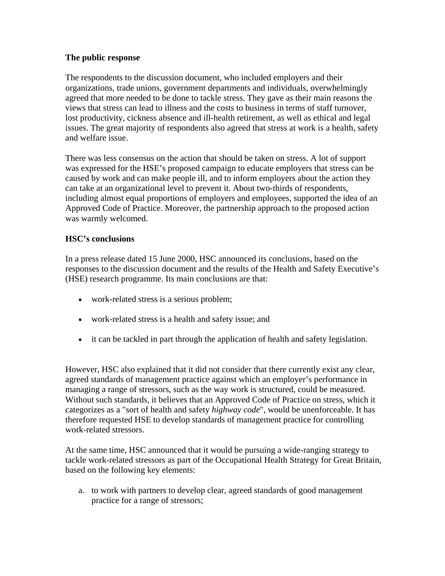#### **The public response**

The respondents to the discussion document, who included employers and their organizations, trade unions, government departments and individuals, overwhelmingly agreed that more needed to be done to tackle stress. They gave as their main reasons the views that stress can lead to illness and the costs to business in terms of staff turnover, lost productivity, cickness absence and ill-health retirement, as well as ethical and legal issues. The great majority of respondents also agreed that stress at work is a health, safety and welfare issue.

There was less consensus on the action that should be taken on stress. A lot of support was expressed for the HSE's proposed campaign to educate employers that stress can be caused by work and can make people ill, and to inform employers about the action they can take at an organizational level to prevent it. About two-thirds of respondents, including almost equal proportions of employers and employees, supported the idea of an Approved Code of Practice. Moreover, the partnership approach to the proposed action was warmly welcomed.

#### **HSC's conclusions**

In a press release dated 15 June 2000, HSC announced its conclusions, based on the responses to the discussion document and the results of the Health and Safety Executive's (HSE) research programme. Its main conclusions are that:

- work-related stress is a serious problem;
- work-related stress is a health and safety issue; and
- it can be tackled in part through the application of health and safety legislation.

However, HSC also explained that it did not consider that there currently exist any clear, agreed standards of management practice against which an employer's performance in managing a range of stressors, such as the way work is structured, could be measured. Without such standards, it believes that an Approved Code of Practice on stress, which it categorizes as a "sort of health and safety *highway code*", would be unenforceable. It has therefore requested HSE to develop standards of management practice for controlling work-related stressors.

At the same time, HSC announced that it would be pursuing a wide-ranging strategy to tackle work-related stressors as part of the Occupational Health Strategy for Great Britain, based on the following key elements:

a. to work with partners to develop clear, agreed standards of good management practice for a range of stressors;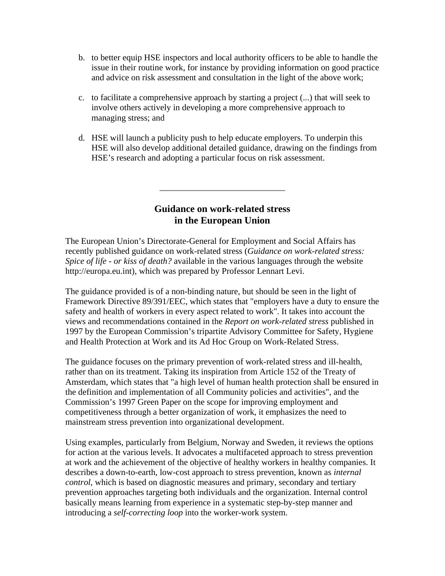- b. to better equip HSE inspectors and local authority officers to be able to handle the issue in their routine work, for instance by providing information on good practice and advice on risk assessment and consultation in the light of the above work;
- c. to facilitate a comprehensive approach by starting a project (...) that will seek to involve others actively in developing a more comprehensive approach to managing stress; and
- d. HSE will launch a publicity push to help educate employers. To underpin this HSE will also develop additional detailed guidance, drawing on the findings from HSE's research and adopting a particular focus on risk assessment.

# **Guidance on work-related stress in the European Union**

The European Union's Directorate-General for Employment and Social Affairs has recently published guidance on work-related stress (*Guidance on work-related stress: Spice of life - or kiss of death?* available in the various languages through the website http://europa.eu.int), which was prepared by Professor Lennart Levi.

The guidance provided is of a non-binding nature, but should be seen in the light of Framework Directive 89/391/EEC, which states that "employers have a duty to ensure the safety and health of workers in every aspect related to work". It takes into account the views and recommendations contained in the *Report on work-related stress* published in 1997 by the European Commission's tripartite Advisory Committee for Safety, Hygiene and Health Protection at Work and its Ad Hoc Group on Work-Related Stress.

The guidance focuses on the primary prevention of work-related stress and ill-health, rather than on its treatment. Taking its inspiration from Article 152 of the Treaty of Amsterdam, which states that "a high level of human health protection shall be ensured in the definition and implementation of all Community policies and activities", and the Commission's 1997 Green Paper on the scope for improving employment and competitiveness through a better organization of work, it emphasizes the need to mainstream stress prevention into organizational development.

Using examples, particularly from Belgium, Norway and Sweden, it reviews the options for action at the various levels. It advocates a multifaceted approach to stress prevention at work and the achievement of the objective of healthy workers in healthy companies. It describes a down-to-earth, low-cost approach to stress prevention, known as *internal control*, which is based on diagnostic measures and primary, secondary and tertiary prevention approaches targeting both individuals and the organization. Internal control basically means learning from experience in a systematic step-by-step manner and introducing a *self-correcting loop* into the worker-work system.